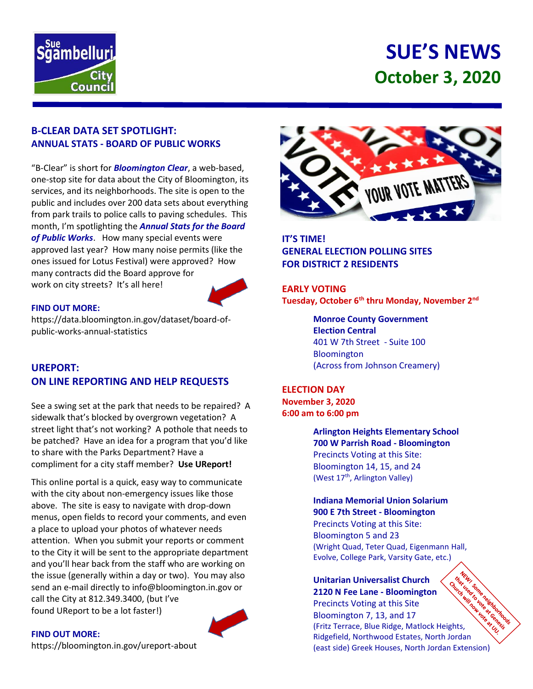

# **SUE'S NEWS October 3, 2020**

## **B-CLEAR DATA SET SPOTLIGHT: ANNUAL STATS - BOARD OF PUBLIC WORKS**

"B-Clear" is short for *Bloomington Clear*, a web-based, one-stop site for data about the City of Bloomington, its services, and its neighborhoods. The site is open to the public and includes over 200 data sets about everything from park trails to police calls to paving schedules. This month, I'm spotlighting the *Annual Stats for the Board of Public Works*. How many special events were approved last year? How many noise permits (like the ones issued for Lotus Festival) were approved? How many contracts did the Board approve for work on city streets? It's all here!



#### **FIND OUT MORE:**

https://data.bloomington.in.gov/dataset/board-ofpublic-works-annual-statistics

# **UREPORT: ON LINE REPORTING AND HELP REQUESTS**

See a swing set at the park that needs to be repaired? A sidewalk that's blocked by overgrown vegetation? A street light that's not working? A pothole that needs to be patched? Have an idea for a program that you'd like to share with the Parks Department? Have a compliment for a city staff member? **Use UReport!**

This online portal is a quick, easy way to communicate with the city about non-emergency issues like those above. The site is easy to navigate with drop-down menus, open fields to record your comments, and even a place to upload your photos of whatever needs attention. When you submit your reports or comment to the City it will be sent to the appropriate department and you'll hear back from the staff who are working on the issue (generally within a day or two). You may also send an e-mail directly to info@bloomington.in.gov or call the City at 812.349.3400, (but I've found UReport to be a lot faster!)





**IT'S TIME! GENERAL ELECTION POLLING SITES FOR DISTRICT 2 RESIDENTS**

**EARLY VOTING Tuesday, October 6th thru Monday, November 2nd**

> **Monroe County Government Election Central** 401 W 7th Street - Suite 100 Bloomington (Across from Johnson Creamery)

**ELECTION DAY November 3, 2020 6:00 am to 6:00 pm**

> **Arlington Heights Elementary School 700 W Parrish Road - Bloomington** Precincts Voting at this Site: Bloomington 14, 15, and 24 (West 17<sup>th</sup>, Arlington Valley)

**Indiana Memorial Union Solarium 900 E 7th Street - Bloomington**

Precincts Voting at this Site: Bloomington 5 and 23 (Wright Quad, Teter Quad, Eigenmann Hall, Evolve, College Park, Varsity Gate, etc.)

**Unitarian Universalist Church 2120 N Fee Lane - Bloomington** Precincts Voting at this Site reationned Bloomington 7, 13, and 17 (Fritz Terrace, Blue Ridge, Matlock Heights, Ridgefield, Northwood Estates, North Jordan (east side) Greek Houses, North Jordan Extension)

#### **FIND OUT MORE:**

<https://bloomington.in.gov/ureport-about>